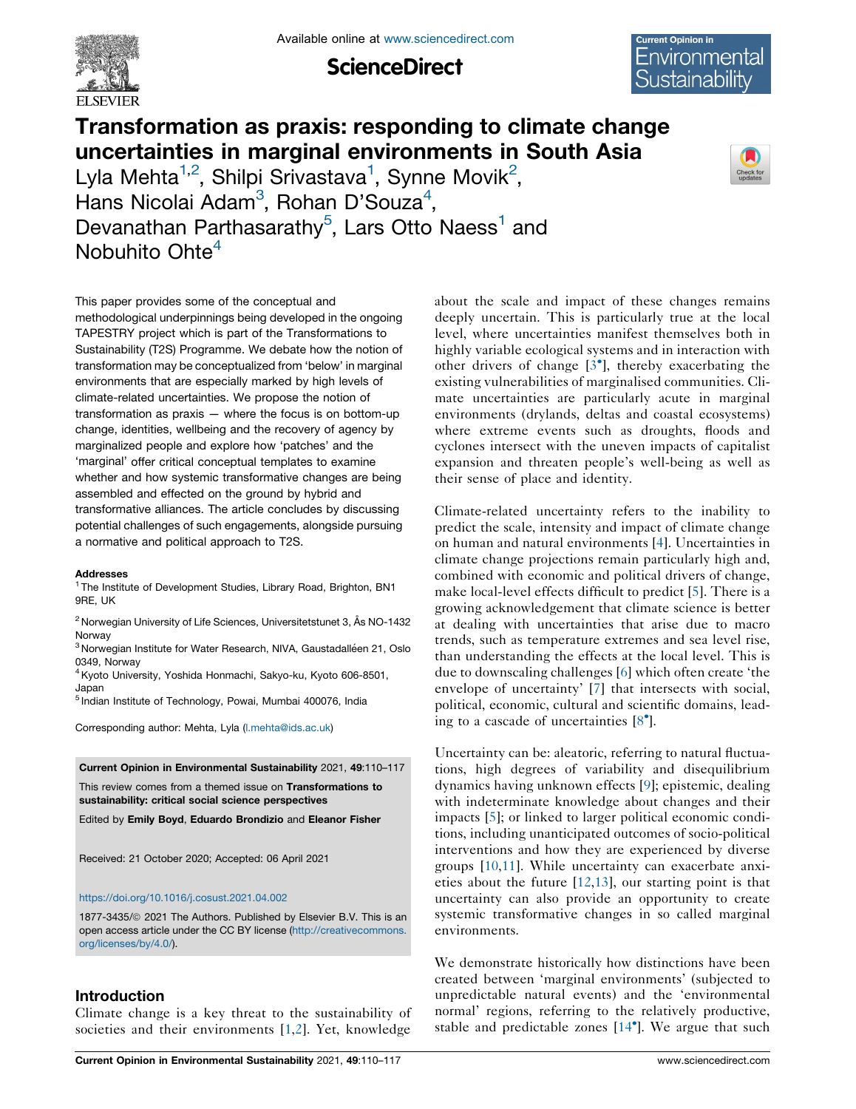

**ScienceDirect** 



Check for<br>updates

# Transformation as praxis: responding to climate change uncertainties in marginal environments in South Asia

Lyla Mehta $^{1,2}$ , Shilpi Srivastava<sup>1</sup>, Synne Movik<sup>2</sup>, Hans Nicolai Adam<sup>3</sup>, Rohan D'Souza<sup>4</sup>, Devanathan Parthasarathy<sup>5</sup>, Lars Otto Naess<sup>1</sup> and Nobuhito Ohte $4$ 

This paper provides some of the conceptual and methodological underpinnings being developed in the ongoing TAPESTRY project which is part of the Transformations to Sustainability (T2S) Programme. We debate how the notion of transformation may be conceptualized from 'below' in marginal environments that are especially marked by high levels of climate-related uncertainties. We propose the notion of transformation as praxis — where the focus is on bottom-up change, identities, wellbeing and the recovery of agency by marginalized people and explore how 'patches' and the 'marginal' offer critical conceptual templates to examine whether and how systemic transformative changes are being assembled and effected on the ground by hybrid and transformative alliances. The article concludes by discussing potential challenges of such engagements, alongside pursuing a normative and political approach to T2S.

#### **Addresses**

<sup>1</sup> The Institute of Development Studies, Library Road, Brighton, BN1 9RE, UK

<sup>2</sup> Norwegian University of Life Sciences, Universitetstunet 3, Ås NO-1432 Norway

 $3$  Norwegian Institute for Water Research, NIVA, Gaustadalléen 21, Oslo 0349, Norway

4Kyoto University, Yoshida Honmachi, Sakyo-ku, Kyoto 606-8501, Japan

<sup>5</sup> Indian Institute of Technology, Powai, Mumbai 400076, India

Corresponding author: Mehta, Lyla ([l.mehta@ids.ac.uk\)](mailto:l.mehta@ids.ac.uk)

Current Opinion in Environmental Sustainability 2021, 49:110–117

This review comes from a themed issue on Transformations to sustainability: critical social science perspectives

Edited by Emily Boyd, Eduardo Brondizio and Eleanor Fisher

Received: 21 October 2020; Accepted: 06 April 2021

#### <https://doi.org/10.1016/j.cosust.2021.04.002>

1877-3435/© 2021 The Authors. Published by Elsevier B.V. This is an open access article under the CC BY license [\(http://creativecommons.](http://creativecommons.org/licenses/by/4.0/) [org/licenses/by/4.0/](http://creativecommons.org/licenses/by/4.0/)).

## Introduction

Climate change is a key threat to the sustainability of societies and their environments [[1,2](#page-5-0)]. Yet, knowledge

about the scale and impact of these changes remains deeply uncertain. This is particularly true at the local level, where uncertainties manifest themselves both in highly variable ecological systems and in interaction with other drivers of change [3 ], thereby [exacerbating](#page-6-0) the existing vulnerabilities of marginalised communities. Climate uncertainties are particularly acute in marginal environments (drylands, deltas and coastal ecosystems) where extreme events such as droughts, floods and cyclones intersect with the uneven impacts of capitalist expansion and threaten people's well-being as well as their sense of place and identity.

Climate-related uncertainty refers to the inability to predict the scale, intensity and impact of climate change on human and natural environments [[4\]](#page-6-0). Uncertainties in climate change projections remain particularly high and, combined with economic and political drivers of change, make local-level effects difficult to predict [\[5\]](#page-6-0). There is a growing acknowledgement that climate science is better at dealing with uncertainties that arise due to macro trends, such as temperature extremes and sea level rise, than understanding the effects at the local level. This is due to downscaling challenges [\[6](#page-6-0)] which often create 'the envelope of uncertainty' [[7\]](#page-6-0) that intersects with social, political, economic, cultural and scientific domains, leading to a cascade of uncertainties [[8](#page-6-0) ].

Uncertainty can be: aleatoric, referring to natural fluctuations, high degrees of variability and disequilibrium dynamics having unknown effects [[9\]](#page-6-0); epistemic, dealing with indeterminate knowledge about changes and their impacts [\[5](#page-6-0)]; or linked to larger political economic conditions, including unanticipated outcomes of socio-political interventions and how they are experienced by diverse groups [[10,11](#page-6-0)]. While uncertainty can exacerbate anxieties about the future [\[12](#page-6-0),[13\]](#page-6-0), our starting point is that uncertainty can also provide an opportunity to create systemic transformative changes in so called marginal environments.

We demonstrate historically how distinctions have been created between 'marginal environments' (subjected to unpredictable natural events) and the 'environmental normal' regions, referring to the relatively productive, stable and predictable zones [\[14](#page-6-0) ]. We argue that such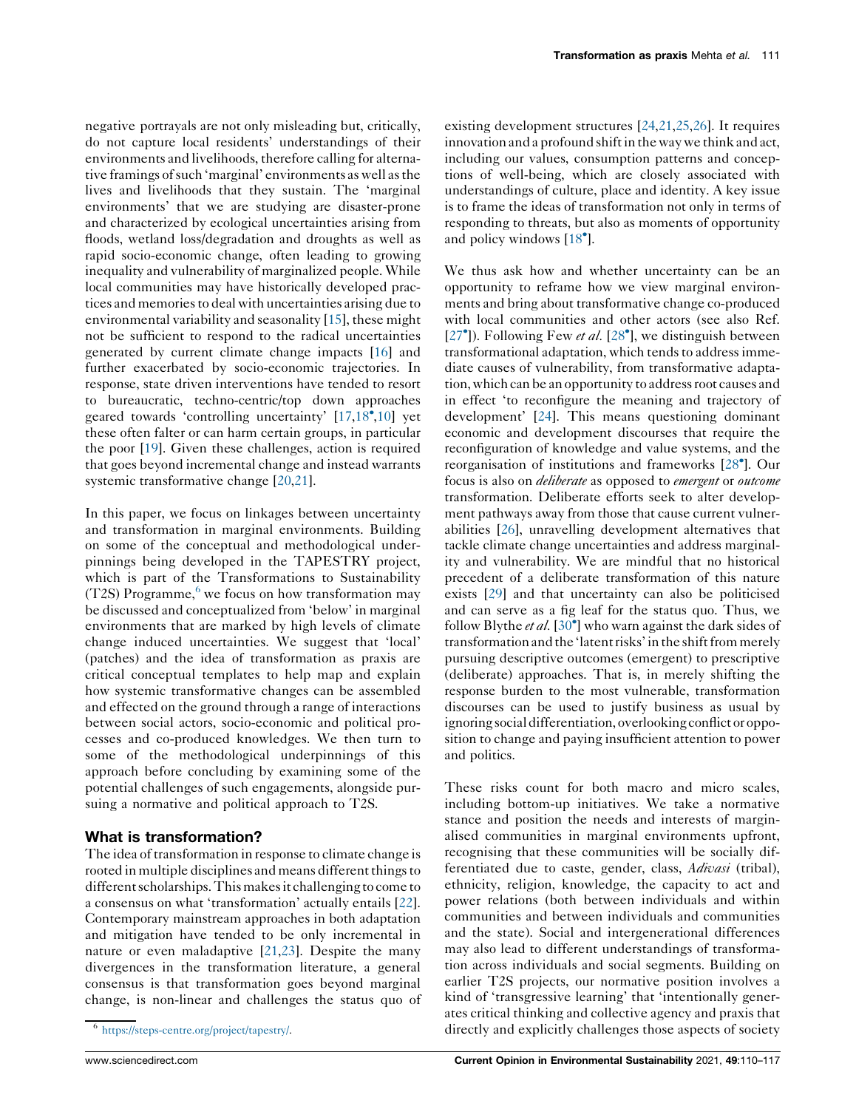negative portrayals are not only misleading but, critically, do not capture local residents' understandings of their environments and livelihoods, therefore calling for alternative framings of such 'marginal' environments as well as the lives and livelihoods that they sustain. The 'marginal environments' that we are studying are disaster-prone and characterized by ecological uncertainties arising from floods, wetland loss/degradation and droughts as well as rapid socio-economic change, often leading to growing inequality and vulnerability of marginalized people. While local communities may have historically developed practices and memoriesto deal with uncertainties arising due to environmental variability and seasonality [[15\]](#page-6-0), these might not be sufficient to respond to the radical uncertainties generated by current climate change impacts [[16\]](#page-6-0) and further exacerbated by socio-economic trajectories. In response, state driven interventions have tended to resort to bureaucratic, techno-centric/top down approaches geared towards 'controlling uncertainty' [\[17,18](#page-6-0) [,10\]](#page-6-0) yet these often falter or can harm certain groups, in particular the poor [\[19](#page-6-0)]. Given these challenges, action is required that goes beyond incremental change and instead warrants systemic transformative change [\[20](#page-6-0),[21\]](#page-6-0).

In this paper, we focus on linkages between uncertainty and transformation in marginal environments. Building on some of the conceptual and methodological underpinnings being developed in the TAPESTRY project, which is part of the Transformations to Sustainability  $(T2S)$  Programme,<sup>6</sup> we focus on how transformation may be discussed and conceptualized from 'below' in marginal environments that are marked by high levels of climate change induced uncertainties. We suggest that 'local' (patches) and the idea of transformation as praxis are critical conceptual templates to help map and explain how systemic transformative changes can be assembled and effected on the ground through a range of interactions between social actors, socio-economic and political processes and co-produced knowledges. We then turn to some of the methodological underpinnings of this approach before concluding by examining some of the potential challenges of such engagements, alongside pursuing a normative and political approach to T2S.

# What is transformation?

The idea of transformation in response to climate change is rooted in multiple disciplines and means different things to different scholarships. This makes it challenging to come to a consensus on what 'transformation' actually entails [[22](#page-6-0)]. Contemporary mainstream approaches in both adaptation and mitigation have tended to be only incremental in nature or even maladaptive [\[21,23](#page-6-0)]. Despite the many divergences in the transformation literature, a general consensus is that transformation goes beyond marginal change, is non-linear and challenges the status quo of existing development structures [\[24,21](#page-6-0),[25,26\]](#page-6-0). It requires innovation and a profound shift in the way we think and act, including our values, consumption patterns and conceptions of well-being, which are closely associated with understandings of culture, place and identity. A key issue is to frame the ideas of transformation not only in terms of responding to threats, but also as moments of opportunity and policy windows [\[18](#page-6-0)<sup>°</sup>].

We thus ask how and whether uncertainty can be an opportunity to reframe how we view marginal environments and bring about transformative change co-produced with local communities and other actors (see also Ref. [\[27](#page-6-0) $\degree$ ]). Following Few *et al.* [\[28](#page-6-0) $\degree$ ], we distinguish between transformational adaptation, which tends to address immediate causes of vulnerability, from transformative adaptation, which can be an opportunity to address root causes and in effect 'to reconfigure the meaning and trajectory of development' [\[24\]](#page-6-0). This means questioning dominant economic and development discourses that require the reconfiguration of knowledge and value systems, and the reorganisation of institutions and frameworks [\[28](#page-6-0) ]. Our focus is also on deliberate as opposed to emergent or outcome transformation. Deliberate efforts seek to alter development pathways away from those that cause current vulnerabilities [[26\]](#page-6-0), unravelling development alternatives that tackle climate change uncertainties and address marginality and vulnerability. We are mindful that no historical precedent of a deliberate transformation of this nature exists [[29](#page-6-0)] and that uncertainty can also be politicised and can serve as a fig leaf for the status quo. Thus, we follow Blythe et al. [[30](#page-6-0)<sup>°</sup>] who warn against the dark sides of transformation and the 'latent risks' in the shift from merely pursuing descriptive outcomes (emergent) to prescriptive (deliberate) approaches. That is, in merely shifting the response burden to the most vulnerable, transformation discourses can be used to justify business as usual by ignoring social differentiation, overlooking conflict or opposition to change and paying insufficient attention to power and politics.

These risks count for both macro and micro scales, including bottom-up initiatives. We take a normative stance and position the needs and interests of marginalised communities in marginal environments upfront, recognising that these communities will be socially differentiated due to caste, gender, class, *Adivasi* (tribal), ethnicity, religion, knowledge, the capacity to act and power relations (both between individuals and within communities and between individuals and communities and the state). Social and intergenerational differences may also lead to different understandings of transformation across individuals and social segments. Building on earlier T2S projects, our normative position involves a kind of 'transgressive learning' that 'intentionally generates critical thinking and collective agency and praxis that directly and explicitly challenges those aspects of society

<sup>6</sup> <https://steps-centre.org/project/tapestry/>.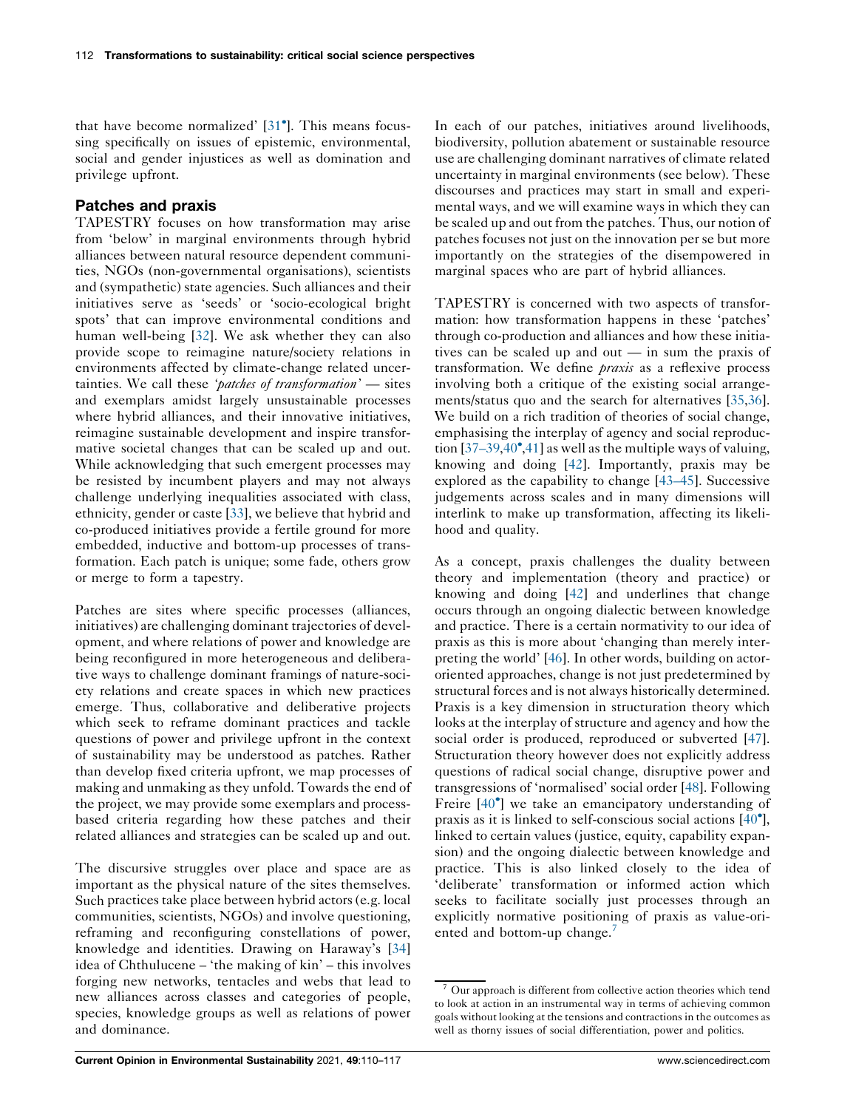that have become normalized' [[31](#page-6-0) ]. This means focussing specifically on issues of epistemic, environmental, social and gender injustices as well as domination and privilege upfront.

## Patches and praxis

TAPESTRY focuses on how transformation may arise from 'below' in marginal environments through hybrid alliances between natural resource dependent communities, NGOs (non-governmental organisations), scientists and (sympathetic) state agencies. Such alliances and their initiatives serve as 'seeds' or 'socio-ecological bright spots' that can improve environmental conditions and human well-being [\[32](#page-6-0)]. We ask whether they can also provide scope to reimagine nature/society relations in environments affected by climate-change related uncertainties. We call these 'patches of transformation' - sites and exemplars amidst largely unsustainable processes where hybrid alliances, and their innovative initiatives, reimagine sustainable development and inspire transformative societal changes that can be scaled up and out. While acknowledging that such emergent processes may be resisted by incumbent players and may not always challenge underlying inequalities associated with class, ethnicity, gender or caste [[33\]](#page-6-0), we believe that hybrid and co-produced initiatives provide a fertile ground for more embedded, inductive and bottom-up processes of transformation. Each patch is unique; some fade, others grow or merge to form a tapestry.

Patches are sites where specific processes (alliances, initiatives) are challenging dominant trajectories of development, and where relations of power and knowledge are being reconfigured in more heterogeneous and deliberative ways to challenge dominant framings of nature-society relations and create spaces in which new practices emerge. Thus, collaborative and deliberative projects which seek to reframe dominant practices and tackle questions of power and privilege upfront in the context of sustainability may be understood as patches. Rather than develop fixed criteria upfront, we map processes of making and unmaking as they unfold. Towards the end of the project, we may provide some exemplars and processbased criteria regarding how these patches and their related alliances and strategies can be scaled up and out.

The discursive struggles over place and space are as important as the physical nature of the sites themselves. Such practices take place between hybrid actors (e.g. local communities, scientists, NGOs) and involve questioning, reframing and reconfiguring constellations of power, knowledge and identities. Drawing on Haraway's [[34\]](#page-6-0) idea of Chthulucene – 'the making of kin' – this involves forging new networks, tentacles and webs that lead to new alliances across classes and categories of people, species, knowledge groups as well as relations of power and dominance.

In each of our patches, initiatives around livelihoods, biodiversity, pollution abatement or sustainable resource use are challenging dominant narratives of climate related uncertainty in marginal environments (see below). These discourses and practices may start in small and experimental ways, and we will examine ways in which they can be scaled up and out from the patches. Thus, our notion of patches focuses not just on the innovation per se but more importantly on the strategies of the disempowered in marginal spaces who are part of hybrid alliances.

TAPESTRY is concerned with two aspects of transformation: how transformation happens in these 'patches' through co-production and alliances and how these initiatives can be scaled up and out — in sum the praxis of transformation. We define praxis as a reflexive process involving both a critique of the existing social arrangements/status quo and the search for alternatives [\[35](#page-6-0),[36](#page-6-0)]. We build on a rich tradition of theories of social change, emphasising the interplay of agency and social reproduction  $[37-39,40^\circ,41]$  $[37-39,40^\circ,41]$  $[37-39,40^\circ,41]$  as well as the multiple ways of valuing, knowing and doing [[42\]](#page-6-0). Importantly, praxis may be explored as the capability to change [[43–45\]](#page-6-0). Successive judgements across scales and in many dimensions will interlink to make up transformation, affecting its likelihood and quality.

As a concept, praxis challenges the duality between theory and implementation (theory and practice) or knowing and doing [[42\]](#page-6-0) and underlines that change occurs through an ongoing dialectic between knowledge and practice. There is a certain normativity to our idea of praxis as this is more about 'changing than merely interpreting the world' [\[46](#page-7-0)]. In other words, building on actororiented approaches, change is not just predetermined by structural forces and is not always historically determined. Praxis is a key dimension in structuration theory which looks at the interplay of structure and agency and how the social order is produced, reproduced or subverted [[47](#page-7-0)]. Structuration theory however does not explicitly address questions of radical social change, disruptive power and transgressions of 'normalised' social order [[48](#page-7-0)]. Following Freire [\[40](#page-6-0)<sup>°</sup>] we take an emancipatory understanding of praxis as it is linked to self-conscious social actions [\[40](#page-6-0) ], linked to certain values (justice, equity, capability expansion) and the ongoing dialectic between knowledge and practice. This is also linked closely to the idea of 'deliberate' transformation or informed action which seeks to facilitate socially just processes through an explicitly normative positioning of praxis as value-oriented and bottom-up change.

<sup>7</sup> Our approach is different from collective action theories which tend to look at action in an instrumental way in terms of achieving common goals without looking at the tensions and contractions in the outcomes as well as thorny issues of social differentiation, power and politics.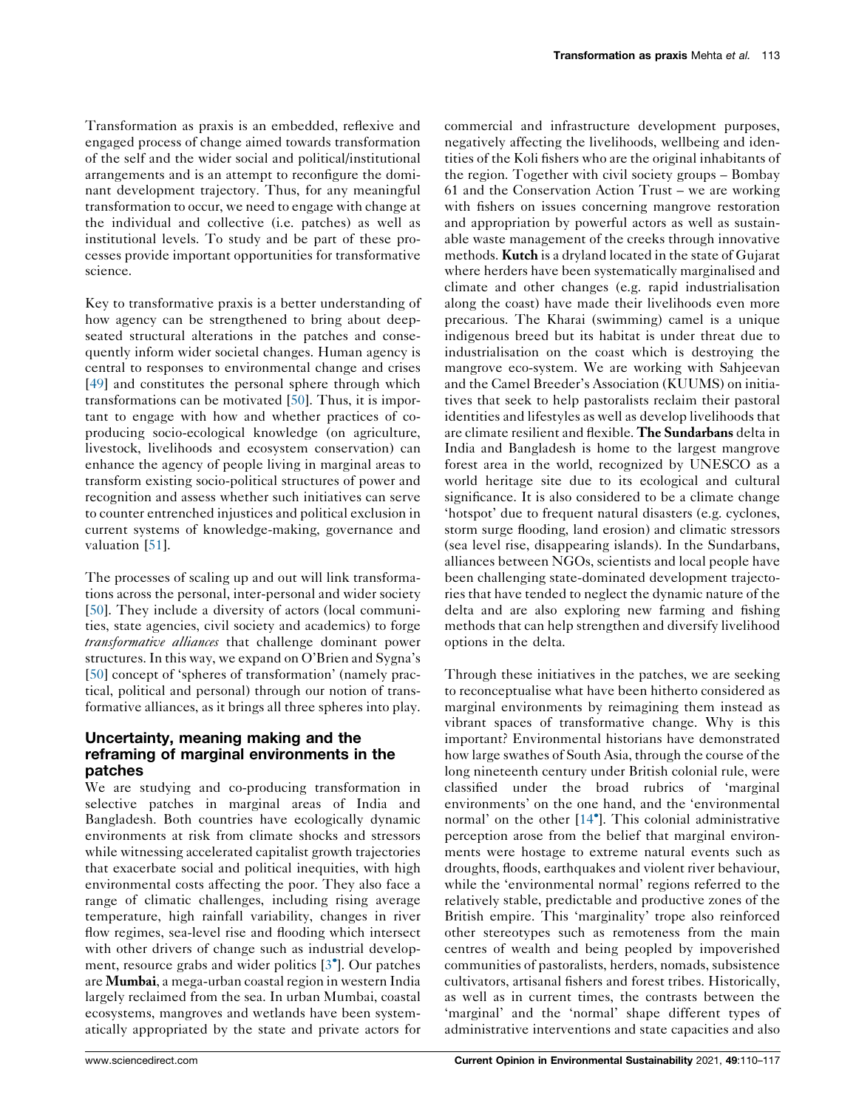Transformation as praxis is an embedded, reflexive and engaged process of change aimed towards transformation of the self and the wider social and political/institutional arrangements and is an attempt to reconfigure the dominant development trajectory. Thus, for any meaningful transformation to occur, we need to engage with change at the individual and collective (i.e. patches) as well as institutional levels. To study and be part of these processes provide important opportunities for transformative science.

Key to transformative praxis is a better understanding of how agency can be strengthened to bring about deepseated structural alterations in the patches and consequently inform wider societal changes. Human agency is central to responses to environmental change and crises [\[49](#page-7-0)] and constitutes the personal sphere through which transformations can be motivated [\[50](#page-7-0)]. Thus, it is important to engage with how and whether practices of coproducing socio-ecological knowledge (on agriculture, livestock, livelihoods and ecosystem conservation) can enhance the agency of people living in marginal areas to transform existing socio-political structures of power and recognition and assess whether such initiatives can serve to counter entrenched injustices and political exclusion in current systems of knowledge-making, governance and valuation [\[51](#page-7-0)].

The processes of scaling up and out will link transformations across the personal, inter-personal and wider society [\[50](#page-7-0)]. They include a diversity of actors (local communities, state agencies, civil society and academics) to forge transformative alliances that challenge dominant power structures.In this way, we expand on O'Brien and Sygna's [\[50](#page-7-0)] concept of 'spheres of transformation' (namely practical, political and personal) through our notion of transformative alliances, as it brings all three spheres into play.

## Uncertainty, meaning making and the reframing of marginal environments in the patches

We are studying and co-producing transformation in selective patches in marginal areas of India and Bangladesh. Both countries have ecologically dynamic environments at risk from climate shocks and stressors while witnessing accelerated capitalist growth trajectories that exacerbate social and political inequities, with high environmental costs affecting the poor. They also face a range of climatic challenges, including rising average temperature, high rainfall variability, changes in river flow regimes, sea-level rise and flooding which intersect with other drivers of change such as industrial development, resource grabs and wider politics [[3](#page-6-0) ]. Our patches are Mumbai, a mega-urban coastal region in western India largely reclaimed from the sea. In urban Mumbai, coastal ecosystems, mangroves and wetlands have been systematically appropriated by the state and private actors for commercial and infrastructure development purposes, negatively affecting the livelihoods, wellbeing and identities of the Koli fishers who are the original inhabitants of the region. Together with civil society groups – Bombay 61 and the Conservation Action Trust – we are working with fishers on issues concerning mangrove restoration and appropriation by powerful actors as well as sustainable waste management of the creeks through innovative methods. Kutch is a dryland located in the state of Gujarat where herders have been systematically marginalised and climate and other changes (e.g. rapid industrialisation along the coast) have made their livelihoods even more precarious. The Kharai (swimming) camel is a unique indigenous breed but its habitat is under threat due to industrialisation on the coast which is destroying the mangrove eco-system. We are working with Sahjeevan and the Camel Breeder's Association (KUUMS) on initiatives that seek to help pastoralists reclaim their pastoral identities and lifestyles as well as develop livelihoods that are climate resilient and flexible. The Sundarbans delta in India and Bangladesh is home to the largest mangrove forest area in the world, recognized by UNESCO as a world heritage site due to its ecological and cultural significance. It is also considered to be a climate change 'hotspot' due to frequent natural disasters (e.g. cyclones, storm surge flooding, land erosion) and climatic stressors (sea level rise, disappearing islands). In the Sundarbans, alliances between NGOs, scientists and local people have been challenging state-dominated development trajectories that have tended to neglect the dynamic nature of the delta and are also exploring new farming and fishing methods that can help strengthen and diversify livelihood options in the delta.

Through these initiatives in the patches, we are seeking to reconceptualise what have been hitherto considered as marginal environments by reimagining them instead as vibrant spaces of transformative change. Why is this important? Environmental historians have demonstrated how large swathes of South Asia, through the course of the long nineteenth century under British colonial rule, were classified under the broad rubrics of 'marginal environments' on the one hand, and the 'environmental normal' on the other [[14](#page-6-0) ]. This colonial administrative perception arose from the belief that marginal environments were hostage to extreme natural events such as droughts, floods, earthquakes and violent river behaviour, while the 'environmental normal' regions referred to the relatively stable, predictable and productive zones of the British empire. This 'marginality' trope also reinforced other stereotypes such as remoteness from the main centres of wealth and being peopled by impoverished communities of pastoralists, herders, nomads, subsistence cultivators, artisanal fishers and forest tribes. Historically, as well as in current times, the contrasts between the 'marginal' and the 'normal' shape different types of administrative interventions and state capacities and also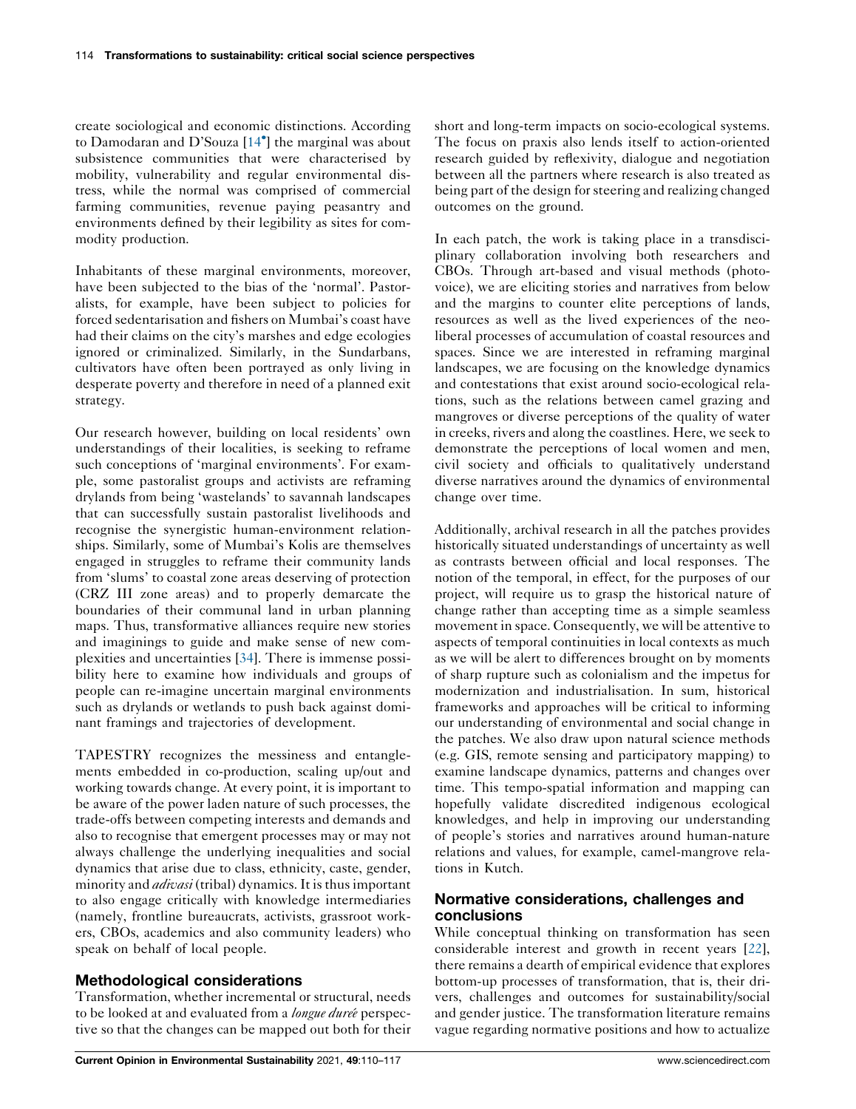create sociological and economic distinctions. According to Damodaran and D'Souza [\[14](#page-6-0) ] the marginal was about subsistence communities that were characterised by mobility, vulnerability and regular environmental distress, while the normal was comprised of commercial farming communities, revenue paying peasantry and environments defined by their legibility as sites for commodity production.

Inhabitants of these marginal environments, moreover, have been subjected to the bias of the 'normal'. Pastoralists, for example, have been subject to policies for forced sedentarisation and fishers on Mumbai's coast have had their claims on the city's marshes and edge ecologies ignored or criminalized. Similarly, in the Sundarbans, cultivators have often been portrayed as only living in desperate poverty and therefore in need of a planned exit strategy.

Our research however, building on local residents' own understandings of their localities, is seeking to reframe such conceptions of 'marginal environments'. For example, some pastoralist groups and activists are reframing drylands from being 'wastelands' to savannah landscapes that can successfully sustain pastoralist livelihoods and recognise the synergistic human-environment relationships. Similarly, some of Mumbai's Kolis are themselves engaged in struggles to reframe their community lands from 'slums' to coastal zone areas deserving of protection (CRZ III zone areas) and to properly demarcate the boundaries of their communal land in urban planning maps. Thus, transformative alliances require new stories and imaginings to guide and make sense of new complexities and uncertainties [\[34](#page-6-0)]. There is immense possibility here to examine how individuals and groups of people can re-imagine uncertain marginal environments such as drylands or wetlands to push back against dominant framings and trajectories of development.

TAPESTRY recognizes the messiness and entanglements embedded in co-production, scaling up/out and working towards change. At every point, it is important to be aware of the power laden nature of such processes, the trade-offs between competing interests and demands and also to recognise that emergent processes may or may not always challenge the underlying inequalities and social dynamics that arise due to class, ethnicity, caste, gender, minority and *adivasi* (tribal) dynamics. It is thus important to also engage critically with knowledge intermediaries (namely, frontline bureaucrats, activists, grassroot workers, CBOs, academics and also community leaders) who speak on behalf of local people.

# Methodological considerations

Transformation, whether incremental or structural, needs to be looked at and evaluated from a longue duree perspective so that the changes can be mapped out both for their short and long-term impacts on socio-ecological systems. The focus on praxis also lends itself to action-oriented research guided by reflexivity, dialogue and negotiation between all the partners where research is also treated as being part of the design for steering and realizing changed outcomes on the ground.

In each patch, the work is taking place in a transdisciplinary collaboration involving both researchers and CBOs. Through art-based and visual methods (photovoice), we are eliciting stories and narratives from below and the margins to counter elite perceptions of lands, resources as well as the lived experiences of the neoliberal processes of accumulation of coastal resources and spaces. Since we are interested in reframing marginal landscapes, we are focusing on the knowledge dynamics and contestations that exist around socio-ecological relations, such as the relations between camel grazing and mangroves or diverse perceptions of the quality of water in creeks, rivers and along the coastlines. Here, we seek to demonstrate the perceptions of local women and men, civil society and officials to qualitatively understand diverse narratives around the dynamics of environmental change over time.

Additionally, archival research in all the patches provides historically situated understandings of uncertainty as well as contrasts between official and local responses. The notion of the temporal, in effect, for the purposes of our project, will require us to grasp the historical nature of change rather than accepting time as a simple seamless movement in space. Consequently, we will be attentive to aspects of temporal continuities in local contexts as much as we will be alert to differences brought on by moments of sharp rupture such as colonialism and the impetus for modernization and industrialisation. In sum, historical frameworks and approaches will be critical to informing our understanding of environmental and social change in the patches. We also draw upon natural science methods (e.g. GIS, remote sensing and participatory mapping) to examine landscape dynamics, patterns and changes over time. This tempo-spatial information and mapping can hopefully validate discredited indigenous ecological knowledges, and help in improving our understanding of people's stories and narratives around human-nature relations and values, for example, camel-mangrove relations in Kutch.

## Normative considerations, challenges and conclusions

While conceptual thinking on transformation has seen considerable interest and growth in recent years [[22](#page-6-0)], there remains a dearth of empirical evidence that explores bottom-up processes of transformation, that is, their drivers, challenges and outcomes for sustainability/social and gender justice. The transformation literature remains vague regarding normative positions and how to actualize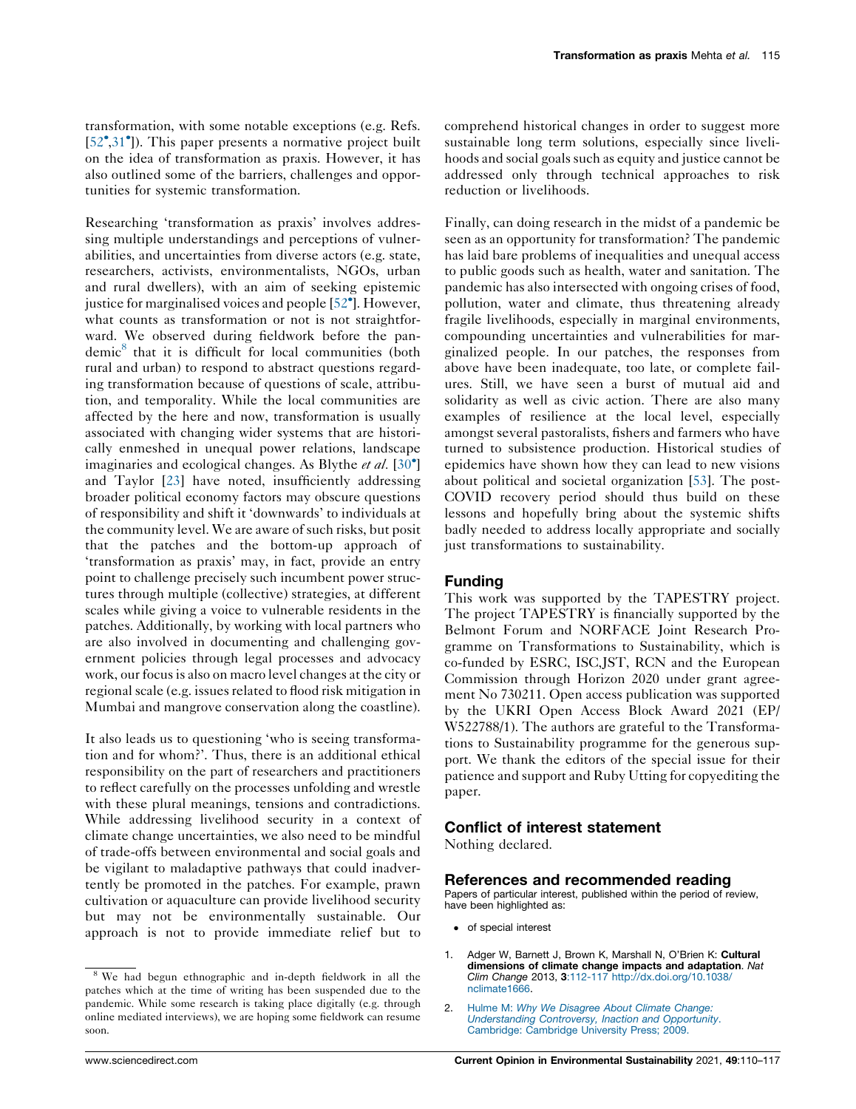<span id="page-5-0"></span>transformation, with some notable exceptions (e.g. Refs. [\[52](#page-7-0)<sup>•</sup>[,31](#page-6-0)<sup>•</sup>]). This paper presents a normative project built on the idea of transformation as praxis. However, it has also outlined some of the barriers, challenges and opportunities for systemic transformation.

Researching 'transformation as praxis' involves addressing multiple understandings and perceptions of vulnerabilities, and uncertainties from diverse actors (e.g. state, researchers, activists, environmentalists, NGOs, urban and rural dwellers), with an aim of seeking epistemic justice for marginalised voices and people [[52](#page-7-0) ]. However, what counts as transformation or not is not straightforward. We observed during fieldwork before the pandemic<sup>8</sup> that it is difficult for local communities (both rural and urban) to respond to abstract questions regarding transformation because of questions of scale, attribution, and temporality. While the local communities are affected by the here and now, transformation is usually associated with changing wider systems that are historically enmeshed in unequal power relations, landscape imaginaries and ecological changes. As Blythe et al. [[30](#page-6-0)<sup>\*</sup>] and Taylor [\[23](#page-6-0)] have noted, insufficiently addressing broader political economy factors may obscure questions of responsibility and shift it 'downwards' to individuals at the community level. We are aware of such risks, but posit that the patches and the bottom-up approach of 'transformation as praxis' may, in fact, provide an entry point to challenge precisely such incumbent power structures through multiple (collective) strategies, at different scales while giving a voice to vulnerable residents in the patches. Additionally, by working with local partners who are also involved in documenting and challenging government policies through legal processes and advocacy work, our focusis also on macro level changes at the city or regional scale (e.g. issues related to flood risk mitigation in Mumbai and mangrove conservation along the coastline).

It also leads us to questioning 'who is seeing transformation and for whom?'. Thus, there is an additional ethical responsibility on the part of researchers and practitioners to reflect carefully on the processes unfolding and wrestle with these plural meanings, tensions and contradictions. While addressing livelihood security in a context of climate change uncertainties, we also need to be mindful of trade-offs between environmental and social goals and be vigilant to maladaptive pathways that could inadvertently be promoted in the patches. For example, prawn cultivation or aquaculture can provide livelihood security but may not be environmentally sustainable. Our approach is not to provide immediate relief but to comprehend historical changes in order to suggest more sustainable long term solutions, especially since livelihoods and social goals such as equity and justice cannot be addressed only through technical approaches to risk reduction or livelihoods.

Finally, can doing research in the midst of a pandemic be seen as an opportunity for transformation? The pandemic has laid bare problems of inequalities and unequal access to public goods such as health, water and sanitation. The pandemic has also intersected with ongoing crises of food, pollution, water and climate, thus threatening already fragile livelihoods, especially in marginal environments, compounding uncertainties and vulnerabilities for marginalized people. In our patches, the responses from above have been inadequate, too late, or complete failures. Still, we have seen a burst of mutual aid and solidarity as well as civic action. There are also many examples of resilience at the local level, especially amongst several pastoralists, fishers and farmers who have turned to subsistence production. Historical studies of epidemics have shown how they can lead to new visions about political and societal organization [\[53](#page-7-0)]. The post-COVID recovery period should thus build on these lessons and hopefully bring about the systemic shifts badly needed to address locally appropriate and socially just transformations to sustainability.

### Funding

This work was supported by the TAPESTRY project. The project TAPESTRY is financially supported by the Belmont Forum and NORFACE Joint Research Programme on Transformations to Sustainability, which is co-funded by ESRC, ISC,JST, RCN and the European Commission through Horizon 2020 under grant agreement No 730211. Open access publication was supported by the UKRI Open Access Block Award 2021 (EP/ W522788/1). The authors are grateful to the Transformations to Sustainability programme for the generous support. We thank the editors of the special issue for their patience and support and Ruby Utting for copyediting the paper.

#### Conflict of interest statement

Nothing declared.

#### References and recommended reading

Papers of particular interest, published within the period of review, have been highlighted as:

- of special interest
- 1. Adger W, Barnett J, Brown K, Marshall N, O'Brien K: Cultural dimensions of climate change impacts and adaptation. Nat Clim Change 2013, 3:112-117 [http://dx.doi.org/10.1038/](http://dx.doi.org/10.1038/nclimate1666) [nclimate1666](http://dx.doi.org/10.1038/nclimate1666).
- 2. Hulme M: Why We [Disagree](http://refhub.elsevier.com/S1877-3435(21)00059-2/sbref0010) About Climate Change: [Understanding](http://refhub.elsevier.com/S1877-3435(21)00059-2/sbref0010) Controversy, Inaction and Opportunity. [Cambridge:](http://refhub.elsevier.com/S1877-3435(21)00059-2/sbref0010) Cambridge University Press; 2009.

<sup>&</sup>lt;sup>8</sup> We had begun ethnographic and in-depth fieldwork in all the patches which at the time of writing has been suspended due to the pandemic. While some research is taking place digitally (e.g. through online mediated interviews), we are hoping some fieldwork can resume soon.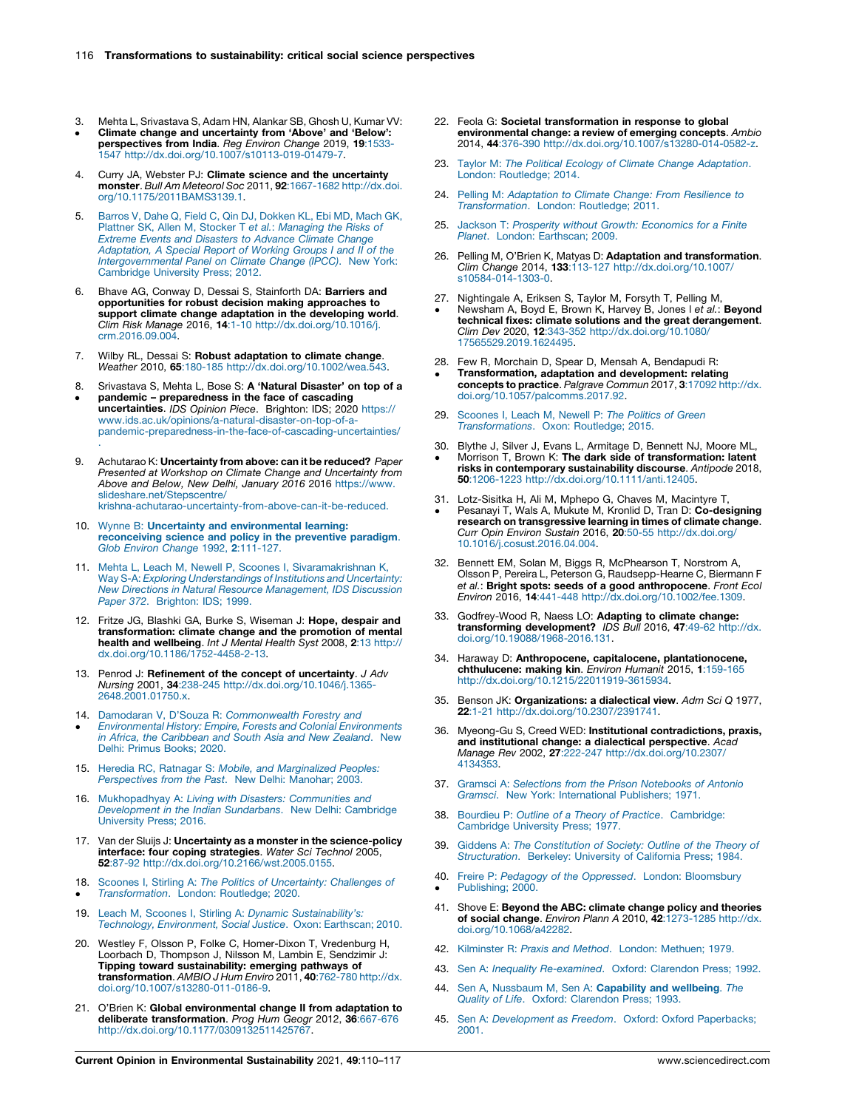- <span id="page-6-0"></span>3. Mehta L, Srivastava S, Adam HN, Alankar SB, Ghosh U, Kumar VV: Climate change and uncertainty from 'Above' and 'Below':
- $\bullet$ perspectives from India. Reg Environ Change 2019, 19:1533-1547 [http://dx.doi.org/10.1007/s10113-019-01479-7.](http://dx.doi.org/10.1007/s10113-019-01479-7)
- Curry JA, Webster PJ: Climate science and the uncertainty monster. Bull Am Meteorol Soc 2011, 92:1667-1682 [http://dx.doi.](http://dx.doi.org/10.1175/2011BAMS3139.1) [org/10.1175/2011BAMS3139.1.](http://dx.doi.org/10.1175/2011BAMS3139.1)
- 5. Barros V, Dahe Q, Field C, Qin DJ, [Dokken](http://refhub.elsevier.com/S1877-3435(21)00059-2/sbref0025) KL, Ebi MD, Mach GK, Plattner SK, Allen M, Stocker T et al.: [Managing](http://refhub.elsevier.com/S1877-3435(21)00059-2/sbref0025) the Risks of Extreme Events and [Disasters](http://refhub.elsevier.com/S1877-3435(21)00059-2/sbref0025) to Advance Climate Change [Adaptation,](http://refhub.elsevier.com/S1877-3435(21)00059-2/sbref0025) A Special Report of Working Groups I and II of the [Intergovernmental](http://refhub.elsevier.com/S1877-3435(21)00059-2/sbref0025) Panel on Climate Change (IPCC). New York: [Cambridge](http://refhub.elsevier.com/S1877-3435(21)00059-2/sbref0025) University Press; 2012.
- Bhave AG, Conway D, Dessai S, Stainforth DA: Barriers and opportunities for robust decision making approaches to support climate change adaptation in the developing world. Clim Risk Manage 2016, 14:1-10 [http://dx.doi.org/10.1016/j.](http://dx.doi.org/10.1016/j.crm.2016.09.004) [crm.2016.09.004.](http://dx.doi.org/10.1016/j.crm.2016.09.004)
- 7. Wilby RL, Dessai S: Robust adaptation to climate change. Weather 2010, 65:180-185 [http://dx.doi.org/10.1002/wea.543.](http://dx.doi.org/10.1002/wea.543)
- 8.  $\bullet$ Srivastava S, Mehta L, Bose S: A 'Natural Disaster' on top of a pandemic – preparedness in the face of cascading uncertainties. IDS Opinion Piece. Brighton: IDS; 2020 [https://](https://www.ids.ac.uk/opinions/a-natural-disaster-on-top-of-a-pandemic-preparedness-in-the-face-of-cascading-uncertainties/) [www.ids.ac.uk/opinions/a-natural-disaster-on-top-of-a](https://www.ids.ac.uk/opinions/a-natural-disaster-on-top-of-a-pandemic-preparedness-in-the-face-of-cascading-uncertainties/)[pandemic-preparedness-in-the-face-of-cascading-uncertainties/](https://www.ids.ac.uk/opinions/a-natural-disaster-on-top-of-a-pandemic-preparedness-in-the-face-of-cascading-uncertainties/) .
- 9. Achutarao K: Uncertainty from above: can it be reduced? Paper Presented at Workshop on Climate Change and Uncertainty from Above and Below, New Delhi, January 2016 2016 [https://www.](https://www.slideshare.net/Stepscentre/krishna-achutarao-uncertainty-from-above-can-it-be-reduced) [slideshare.net/Stepscentre/](https://www.slideshare.net/Stepscentre/krishna-achutarao-uncertainty-from-above-can-it-be-reduced) [krishna-achutarao-uncertainty-from-above-can-it-be-reduced](https://www.slideshare.net/Stepscentre/krishna-achutarao-uncertainty-from-above-can-it-be-reduced).
- 10. Wynne B: Uncertainty and [environmental](http://refhub.elsevier.com/S1877-3435(21)00059-2/sbref0050) learning: [reconceiving](http://refhub.elsevier.com/S1877-3435(21)00059-2/sbref0050) science and policy in the preventive paradigm.
- Glob Environ Change 1992, 2[:111-127.](http://refhub.elsevier.com/S1877-3435(21)00059-2/sbref0050)
- 11. Mehta L, Leach M, Newell P, Scoones I, [Sivaramakrishnan](http://refhub.elsevier.com/S1877-3435(21)00059-2/sbref0055) K, Way S-A: Exploring [Understandings](http://refhub.elsevier.com/S1877-3435(21)00059-2/sbref0055) of Institutions and Uncertainty: New Directions in Natural Resource [Management,](http://refhub.elsevier.com/S1877-3435(21)00059-2/sbref0055) IDS Discussion Paper 372. [Brighton:](http://refhub.elsevier.com/S1877-3435(21)00059-2/sbref0055) IDS; 1999.
- 12. Fritze JG, Blashki GA, Burke S, Wiseman J: Hope, despair and transformation: climate change and the promotion of mental health and wellbeing. Int J Mental Health Syst 2008, 2:13 [http://](http://dx.doi.org/10.1186/1752-4458-2-13) [dx.doi.org/10.1186/1752-4458-2-13](http://dx.doi.org/10.1186/1752-4458-2-13).
- 13. Penrod J: **Refinement of the concept of uncertainty**. J Adv<br>Nursing 2001, 34:238-245 [http://dx.doi.org/10.1046/j.1365-](http://dx.doi.org/10.1046/j.1365-2648.2001.01750.x) [2648.2001.01750.x](http://dx.doi.org/10.1046/j.1365-2648.2001.01750.x).
- 14. Damodaran V, D'Souza R: [Commonwealth](http://refhub.elsevier.com/S1877-3435(21)00059-2/sbref0070) Forestry and
- $\bullet$ [Environmental](http://refhub.elsevier.com/S1877-3435(21)00059-2/sbref0070) History: Empire, Forests and Colonial Environments in Africa, the [Caribbean](http://refhub.elsevier.com/S1877-3435(21)00059-2/sbref0070) and South Asia and New Zealand. New Delhi: Primus [Books;](http://refhub.elsevier.com/S1877-3435(21)00059-2/sbref0070) 2020.
- 15. Heredia RC, Ratnagar S: Mobile, and [Marginalized](http://refhub.elsevier.com/S1877-3435(21)00059-2/sbref0075) Peoples: [Perspectives](http://refhub.elsevier.com/S1877-3435(21)00059-2/sbref0075) from the Past. New Delhi: Manohar; 2003.
- 16. [Mukhopadhyay](http://refhub.elsevier.com/S1877-3435(21)00059-2/sbref0080) A: Living with Disasters: Communities and [Development](http://refhub.elsevier.com/S1877-3435(21)00059-2/sbref0080) in the Indian Sundarbans. New Delhi: Cambridge [University](http://refhub.elsevier.com/S1877-3435(21)00059-2/sbref0080) Press; 2016.
- 17. Van der Sluijs J: Uncertainty as a monster in the science-policy interface: four coping strategies. Water Sci Technol 2005, 52:87-92 [http://dx.doi.org/10.2166/wst.2005.0155.](http://dx.doi.org/10.2166/wst.2005.0155)
- 18. Scoones I, Stirling A: The Politics of [Uncertainty:](http://refhub.elsevier.com/S1877-3435(21)00059-2/sbref0090) Challenges of  $\bullet$ [Transformation](http://refhub.elsevier.com/S1877-3435(21)00059-2/sbref0090). London: Routledge; 2020.
- 19. Leach M, Scoones I, Stirling A: Dynamic [Sustainability's:](http://refhub.elsevier.com/S1877-3435(21)00059-2/sbref0095) Technology, [Environment,](http://refhub.elsevier.com/S1877-3435(21)00059-2/sbref0095) Social Justice. Oxon: Earthscan; 2010.
- 20. Westley F, Olsson P, Folke C, Homer-Dixon T, Vredenburg H, Loorbach D, Thompson J, Nilsson M, Lambin E, Sendzimir J: Tipping toward sustainability: emerging pathways of transformation. AMBIO J Hum Enviro 2011, 40:762-780 [http://dx.](http://dx.doi.org/10.1007/s13280-011-0186-9) [doi.org/10.1007/s13280-011-0186-9.](http://dx.doi.org/10.1007/s13280-011-0186-9)
- 21. O'Brien K: Global environmental change II from adaptation to **deliberate transformation**. *Prog Hum Geogr 2*012, **36**:667-676<br>[http://dx.doi.org/10.1177/0309132511425767.](http://dx.doi.org/10.1177/0309132511425767)
- 22. Feola G: Societal transformation in response to global environmental change: a review of emerging concepts. Ambio 2014, 44:376-390 [http://dx.doi.org/10.1007/s13280-014-0582-z.](http://dx.doi.org/10.1007/s13280-014-0582-z)
- 23. Taylor M: The Political Ecology of Climate Change [Adaptation](http://refhub.elsevier.com/S1877-3435(21)00059-2/sbref0115). London: [Routledge;](http://refhub.elsevier.com/S1877-3435(21)00059-2/sbref0115) 2014.
- 24. Pelling M: [Adaptation](http://refhub.elsevier.com/S1877-3435(21)00059-2/sbref0120) to Climate Change: From Resilience to [Transformation](http://refhub.elsevier.com/S1877-3435(21)00059-2/sbref0120). London: Routledge; 2011.
- 25. Jackson T: Prosperity without Growth: [Economics](http://refhub.elsevier.com/S1877-3435(21)00059-2/sbref0125) for a Finite Planet. London: [Earthscan;](http://refhub.elsevier.com/S1877-3435(21)00059-2/sbref0125) 2009.
- 26. Pelling M, O'Brien K, Matyas D: Adaptation and transformation. Clim Change 2014, 133:113-127 [http://dx.doi.org/10.1007/](http://dx.doi.org/10.1007/s10584-014-1303-0) [s10584-014-1303-0.](http://dx.doi.org/10.1007/s10584-014-1303-0)
- 27. Nightingale A, Eriksen S, Taylor M, Forsyth T, Pelling M,
- $\cdot$ Newsham A, Boyd E, Brown K, Harvey B, Jones I et al.: Beyond technical fixes: climate solutions and the great derangement. Clim Dev 2020, 12:343-352 [http://dx.doi.org/10.1080/](http://dx.doi.org/10.1080/17565529.2019.1624495) [17565529.2019.1624495](http://dx.doi.org/10.1080/17565529.2019.1624495).
- 28. Few R, Morchain D, Spear D, Mensah A, Bendapudi R:
- $\cdot$ Transformation, adaptation and development: relating concepts to practice. Palgrave Commun 2017, 3:17092 [http://dx.](http://dx.doi.org/10.1057/palcomms.2017.92) [doi.org/10.1057/palcomms.2017.92.](http://dx.doi.org/10.1057/palcomms.2017.92)
- 29. [Scoones](http://refhub.elsevier.com/S1877-3435(21)00059-2/sbref0145) I, Leach M, Newell P: The Politics of Green [Transformations](http://refhub.elsevier.com/S1877-3435(21)00059-2/sbref0145). Oxon: Routledge; 2015.
- 30. Blythe J, Silver J, Evans L, Armitage D, Bennett NJ, Moore ML,  $\cdot$ Morrison T, Brown K: The dark side of transformation: latent risks in contemporary sustainability discourse. Antipode 2018, 50:1206-1223 <http://dx.doi.org/10.1111/anti.12405>.
- 31. Lotz-Sisitka H, Ali M, Mphepo G, Chaves M, Macintyre T,  $\cdot$ Pesanayi T, Wals A, Mukute M, Kronlid D, Tran D: Co-designing research on transgressive learning in times of climate change. Curr Opin Environ Sustain 2016, 20:50-55 [http://dx.doi.org/](http://dx.doi.org/10.1016/j.cosust.2016.04.004) [10.1016/j.cosust.2016.04.004](http://dx.doi.org/10.1016/j.cosust.2016.04.004).
- 32. Bennett EM, Solan M, Biggs R, McPhearson T, Norstrom A, Olsson P, Pereira L, Peterson G, Raudsepp-Hearne C, Biermann F et al.**: Bright spots: seeds of a good anthropocene**. Front Ecol<br>Environ 2016, **14**:441-448 [http://dx.doi.org/10.1002/fee.1309.](http://dx.doi.org/10.1002/fee.1309)
- 33. Godfrey-Wood R, Naess LO: Adapting to climate change: **transforming development?** IDS Bull 2016, 47:49-62 [http://dx.](http://dx.doi.org/10.19088/1968-2016.131)<br>[doi.org/10.19088/1968-2016.131](http://dx.doi.org/10.19088/1968-2016.131).
- 34. Haraway D: Anthropocene, capitalocene, plantationocene, chthulucene: making kin. Environ Humanit 2015, 1:159-165 [http://dx.doi.org/10.1215/22011919-3615934.](http://dx.doi.org/10.1215/22011919-3615934)
- 35. Benson JK: Organizations: a dialectical view. Adm Sci Q 1977, 22:1-21 [http://dx.doi.org/10.2307/2391741.](http://dx.doi.org/10.2307/2391741)
- 36. Myeong-Gu S, Creed WED: Institutional contradictions, praxis, and institutional change: a dialectical perspective. Acad Manage Rev 2002, 27:222-247 [http://dx.doi.org/10.2307/](http://dx.doi.org/10.2307/4134353) [4134353](http://dx.doi.org/10.2307/4134353).
- 37. Gramsci A: Selections from the Prison [Notebooks](http://refhub.elsevier.com/S1877-3435(21)00059-2/sbref0185) of Antonio Gramsci. New York: [International](http://refhub.elsevier.com/S1877-3435(21)00059-2/sbref0185) Publishers; 1971.
- 38. Bourdieu P: Outline of a Theory of Practice. [Cambridge:](http://refhub.elsevier.com/S1877-3435(21)00059-2/sbref0190) [Cambridge](http://refhub.elsevier.com/S1877-3435(21)00059-2/sbref0190) University Press; 1977.
- 39. Giddens A: The [Constitution](http://refhub.elsevier.com/S1877-3435(21)00059-2/sbref0195) of Society: Outline of the Theory of [Structuration](http://refhub.elsevier.com/S1877-3435(21)00059-2/sbref0195). Berkeley: University of California Press; 1984.
- 40. Freire P: Pedagogy of the Oppressed. London: [Bloomsbury](http://refhub.elsevier.com/S1877-3435(21)00059-2/sbref0200)  $\cdot$ [Publishing;](http://refhub.elsevier.com/S1877-3435(21)00059-2/sbref0200) 2000.
- 41. Shove E: Beyond the ABC: climate change policy and theories<br>of social change. *Environ Plann A* 2010, 42:1273-1285 [http://dx.](http://dx.doi.org/10.1068/a42282) [doi.org/10.1068/a42282.](http://dx.doi.org/10.1068/a42282)
- 42. [Kilminster](http://refhub.elsevier.com/S1877-3435(21)00059-2/sbref0210) R: Praxis and Method. London: Methuen; 1979.
- 43. Sen A: Inequality [Re-examined](http://refhub.elsevier.com/S1877-3435(21)00059-2/sbref0215). Oxford: Clarendon Press; 1992.
- 44. Sen A, [Nussbaum](http://refhub.elsevier.com/S1877-3435(21)00059-2/sbref0220) M, Sen A: Capability and wellbeing. The Quality of Life. Oxford: [Clarendon](http://refhub.elsevier.com/S1877-3435(21)00059-2/sbref0220) Press; 1993.
- 45. Sen A: [Development](http://refhub.elsevier.com/S1877-3435(21)00059-2/sbref0225) as Freedom. Oxford: Oxford Paperbacks; [2001.](http://refhub.elsevier.com/S1877-3435(21)00059-2/sbref0225)